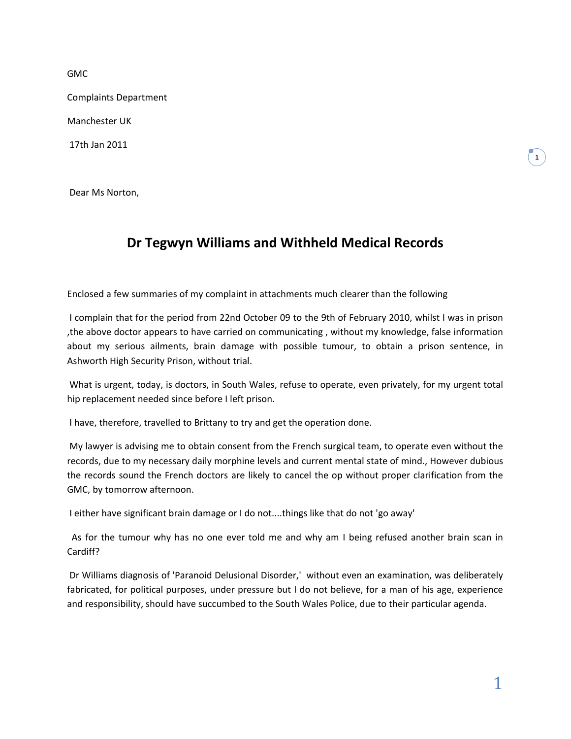GMC

Complaints Department

Manchester UK

17th Jan 2011

Dear Ms Norton,

## **Dr Tegwyn Williams and Withheld Medical Records**

Enclosed a few summaries of my complaint in attachments much clearer than the following

I complain that for the period from 22nd October 09 to the 9th of February 2010, whilst I was in prison ,the above doctor appears to have carried on communicating , without my knowledge, false information about my serious ailments, brain damage with possible tumour, to obtain a prison sentence, in Ashworth High Security Prison, without trial.

What is urgent, today, is doctors, in South Wales, refuse to operate, even privately, for my urgent total hip replacement needed since before I left prison.

I have, therefore, travelled to Brittany to try and get the operation done.

My lawyer is advising me to obtain consent from the French surgical team, to operate even without the records, due to my necessary daily morphine levels and current mental state of mind., However dubious the records sound the French doctors are likely to cancel the op without proper clarification from the GMC, by tomorrow afternoon.

I either have significant brain damage or I do not....things like that do not 'go away'

 As for the tumour why has no one ever told me and why am I being refused another brain scan in Cardiff?

Dr Williams diagnosis of 'Paranoid Delusional Disorder,' without even an examination, was deliberately fabricated, for political purposes, under pressure but I do not believe, for a man of his age, experience and responsibility, should have succumbed to the South Wales Police, due to their particular agenda.

**1**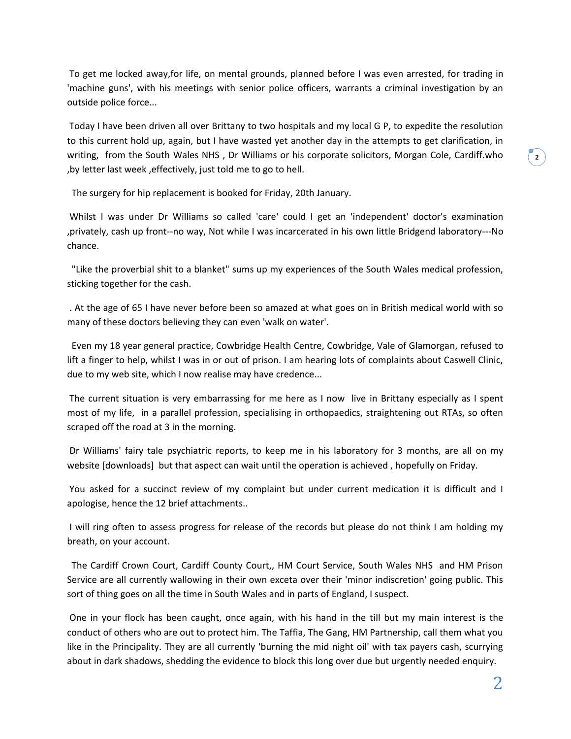To get me locked away,for life, on mental grounds, planned before I was even arrested, for trading in 'machine guns', with his meetings with senior police officers, warrants a criminal investigation by an outside police force...

Today I have been driven all over Brittany to two hospitals and my local G P, to expedite the resolution to this current hold up, again, but I have wasted yet another day in the attempts to get clarification, in writing, from the South Wales NHS , Dr Williams or his corporate solicitors, Morgan Cole, Cardiff.who ,by letter last week ,effectively, just told me to go to hell.

The surgery for hip replacement is booked for Friday, 20th January.

Whilst I was under Dr Williams so called 'care' could I get an 'independent' doctor's examination ,privately, cash up front--no way, Not while I was incarcerated in his own little Bridgend laboratory---No chance.

 "Like the proverbial shit to a blanket" sums up my experiences of the South Wales medical profession, sticking together for the cash.

. At the age of 65 I have never before been so amazed at what goes on in British medical world with so many of these doctors believing they can even 'walk on water'.

 Even my 18 year general practice, Cowbridge Health Centre, Cowbridge, Vale of Glamorgan, refused to lift a finger to help, whilst I was in or out of prison. I am hearing lots of complaints about Caswell Clinic, due to my web site, which I now realise may have credence...

The current situation is very embarrassing for me here as I now live in Brittany especially as I spent most of my life, in a parallel profession, specialising in orthopaedics, straightening out RTAs, so often scraped off the road at 3 in the morning.

Dr Williams' fairy tale psychiatric reports, to keep me in his laboratory for 3 months, are all on my website [downloads] but that aspect can wait until the operation is achieved , hopefully on Friday.

You asked for a succinct review of my complaint but under current medication it is difficult and I apologise, hence the 12 brief attachments..

I will ring often to assess progress for release of the records but please do not think I am holding my breath, on your account.

 The Cardiff Crown Court, Cardiff County Court,, HM Court Service, South Wales NHS and HM Prison Service are all currently wallowing in their own exceta over their 'minor indiscretion' going public. This sort of thing goes on all the time in South Wales and in parts of England, I suspect.

One in your flock has been caught, once again, with his hand in the till but my main interest is the conduct of others who are out to protect him. The Taffia, The Gang, HM Partnership, call them what you like in the Principality. They are all currently 'burning the mid night oil' with tax payers cash, scurrying about in dark shadows, shedding the evidence to block this long over due but urgently needed enquiry.

**2**